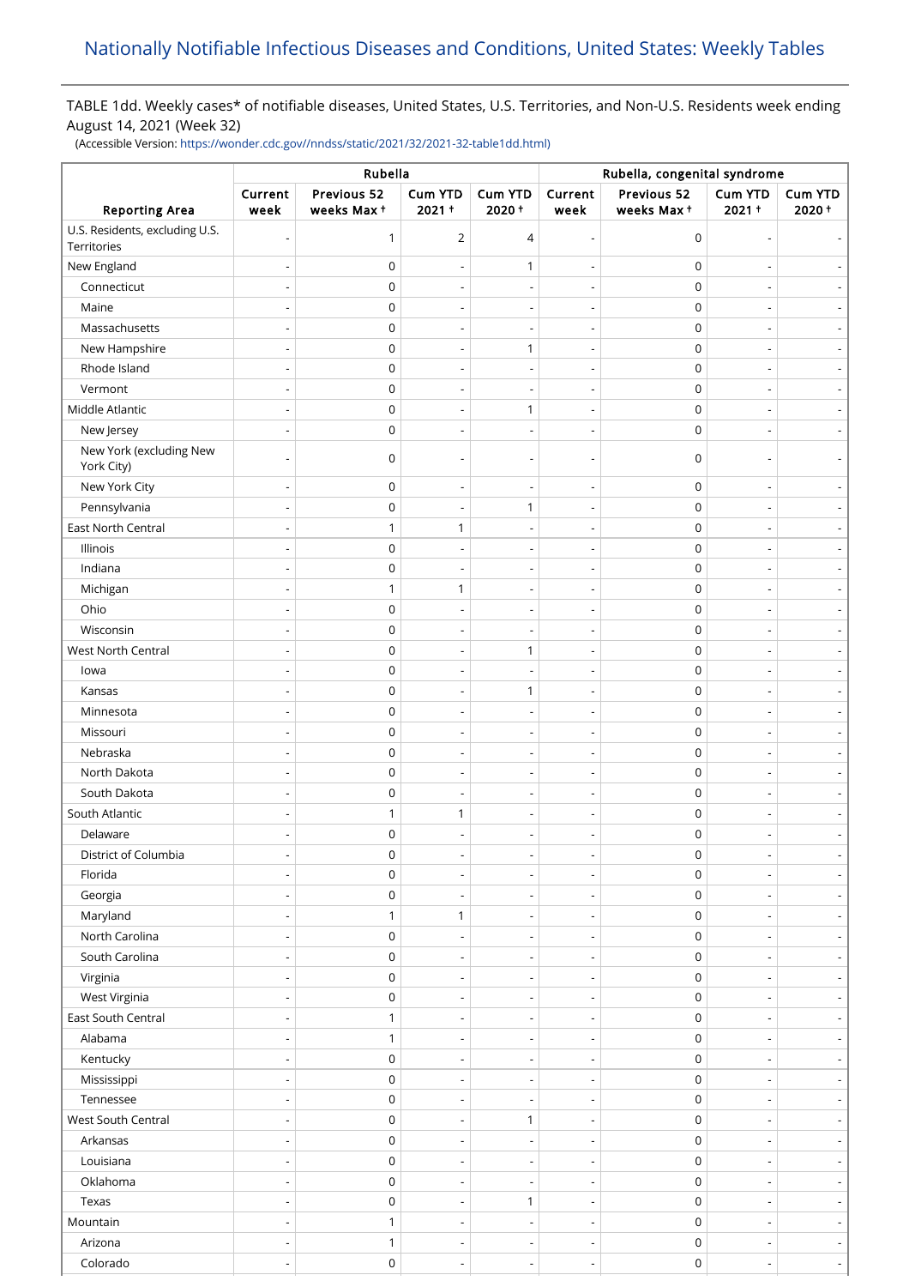# TABLE 1dd. Weekly cases\* of notifiable diseases, United States, U.S. Territories, and Non-U.S. Residents week ending August 14, 2021 (Week 32)

(Accessible Version: [https://wonder.cdc.gov//nndss/static/2021/32/2021-32-table1dd.html\)](https://wonder.cdc.gov//nndss/static/2021/32/2021-32-table1dd.html)

|                                               | Rubella                  |                           |                          |                          | Rubella, congenital syndrome |                           |                            |                              |
|-----------------------------------------------|--------------------------|---------------------------|--------------------------|--------------------------|------------------------------|---------------------------|----------------------------|------------------------------|
| <b>Reporting Area</b>                         | Current<br>week          | Previous 52<br>weeks Max+ | Cum YTD<br>$2021 +$      | Cum YTD<br>$2020 +$      | Current<br>week              | Previous 52<br>weeks Max+ | <b>Cum YTD</b><br>$2021 +$ | Cum YTD<br>2020+             |
| U.S. Residents, excluding U.S.<br>Territories |                          | 1                         | 2                        | 4                        | $\overline{\phantom{a}}$     | $\mathbf 0$               |                            |                              |
| New England                                   |                          | $\mathsf 0$               | $\overline{\phantom{a}}$ | $\mathbf{1}$             | $\overline{\phantom{a}}$     | $\mathbf 0$               |                            |                              |
| Connecticut                                   |                          | $\mathbf 0$               |                          |                          |                              | $\mathbf 0$               |                            |                              |
| Maine                                         |                          | $\mathbf 0$               |                          | $\overline{a}$           | $\overline{\phantom{a}}$     | $\mathbf 0$               |                            |                              |
| Massachusetts                                 |                          | $\mathbf 0$               |                          |                          |                              | $\pmb{0}$                 |                            |                              |
| New Hampshire                                 |                          | $\mathbf 0$               | $\overline{\phantom{a}}$ | $\mathbf{1}$             | $\overline{\phantom{a}}$     | $\mathbf 0$               |                            | $\overline{\phantom{a}}$     |
| Rhode Island                                  |                          | $\mathsf 0$               |                          |                          |                              | $\pmb{0}$                 |                            |                              |
| Vermont                                       |                          | $\mathbf 0$               | $\overline{\phantom{a}}$ |                          | $\overline{\phantom{a}}$     | $\mathbf 0$               |                            |                              |
| Middle Atlantic                               |                          | $\mathsf 0$               |                          | $\mathbf{1}$             | $\overline{\phantom{a}}$     | $\mathbf 0$               |                            |                              |
| New Jersey                                    |                          | $\mathbf 0$               | $\overline{\phantom{a}}$ | $\overline{a}$           | $\overline{\phantom{0}}$     | $\mathbf 0$               |                            | $\overline{\phantom{a}}$     |
| New York (excluding New<br>York City)         |                          | $\mathbf 0$               |                          |                          |                              | $\mathbf 0$               |                            |                              |
| New York City                                 |                          | $\mathbf 0$               | $\overline{\phantom{a}}$ | $\overline{a}$           |                              | $\mathbf 0$               |                            |                              |
| Pennsylvania                                  |                          | $\mathbf 0$               | $\overline{\phantom{a}}$ | 1                        | $\overline{\phantom{a}}$     | $\mathbf 0$               |                            |                              |
| East North Central                            |                          | 1                         | 1                        |                          | $\overline{\phantom{a}}$     | $\mathbf 0$               |                            |                              |
| Illinois                                      |                          | $\mathbf 0$               |                          |                          | $\overline{\phantom{a}}$     | $\pmb{0}$                 |                            |                              |
| Indiana                                       |                          | $\mathbf 0$               | $\overline{\phantom{a}}$ | $\overline{\phantom{0}}$ | $\overline{\phantom{a}}$     | $\mathbf 0$               |                            | $\overline{\phantom{a}}$     |
| Michigan                                      |                          | $\mathbf{1}$              | 1                        |                          |                              | $\mathbf 0$               |                            | $\frac{1}{2}$                |
| Ohio                                          |                          | $\mathbf 0$               | $\overline{\phantom{a}}$ | $\overline{a}$           | $\overline{\phantom{a}}$     | $\mathbf 0$               |                            | $\qquad \qquad \blacksquare$ |
| Wisconsin                                     |                          | $\mathsf 0$               |                          |                          |                              | $\pmb{0}$                 |                            |                              |
| West North Central                            |                          | $\mathbf 0$               | $\overline{\phantom{a}}$ | 1                        | $\overline{\phantom{a}}$     | $\mathbf 0$               |                            | $\overline{\phantom{a}}$     |
| lowa                                          |                          | 0                         |                          |                          |                              | $\mathbf 0$               |                            |                              |
| Kansas                                        |                          | $\mathbf 0$               | $\overline{\phantom{a}}$ | $\mathbf{1}$             | $\overline{\phantom{a}}$     | $\mathbf 0$               |                            |                              |
| Minnesota                                     |                          | $\mathbf 0$               |                          |                          |                              | $\mathbf 0$               |                            |                              |
| Missouri                                      |                          | $\mathbf 0$               | $\overline{\phantom{a}}$ | $\overline{\phantom{a}}$ | $\overline{\phantom{m}}$     | $\mathbf 0$               |                            | $\overline{\phantom{a}}$     |
| Nebraska                                      |                          | $\mathbf 0$               | $\overline{a}$           | $\overline{\phantom{0}}$ | $\overline{\phantom{a}}$     | 0                         |                            | $\overline{\phantom{a}}$     |
| North Dakota                                  |                          | $\mathbf 0$               | $\overline{\phantom{a}}$ | $\overline{\phantom{0}}$ | $\overline{\phantom{a}}$     | $\mathbf 0$               |                            | $\overline{\phantom{0}}$     |
| South Dakota                                  |                          | $\mathbf 0$               | $\overline{\phantom{a}}$ |                          | $\overline{\phantom{a}}$     | $\mathbf 0$               |                            |                              |
| South Atlantic                                |                          | 1                         | 1                        |                          |                              | $\mathbf 0$               |                            |                              |
| Delaware                                      |                          | $\mathbf 0$               |                          |                          |                              | $\mathbf 0$               | $\overline{\phantom{a}}$   | $\overline{\phantom{a}}$     |
| District of Columbia                          |                          | 0                         | $\overline{\phantom{a}}$ |                          |                              | 0                         |                            | $\blacksquare$               |
| Florida                                       |                          | $\mathbf 0$               | $\overline{\phantom{a}}$ | $\overline{\phantom{a}}$ | $\overline{\phantom{a}}$     | $\mathbf 0$               |                            | $\overline{\phantom{a}}$     |
| Georgia                                       |                          | $\mathsf 0$               | $\overline{a}$           |                          | $\overline{a}$               | $\mathbf 0$               |                            | $\overline{\phantom{a}}$     |
| Maryland                                      |                          | 1                         | 1                        | $\overline{\phantom{a}}$ | $\overline{\phantom{m}}$     | $\mathbf 0$               | $\overline{a}$             | $\overline{\phantom{a}}$     |
| North Carolina                                |                          | 0                         |                          |                          |                              | $\mathbf 0$               |                            | $\overline{\phantom{a}}$     |
| South Carolina                                |                          | $\mathbf 0$               | $\overline{\phantom{a}}$ | $\overline{\phantom{a}}$ | $\overline{\phantom{m}}$     | $\mathbf 0$               |                            | $\overline{\phantom{a}}$     |
| Virginia                                      |                          | $\mathbf 0$               | $\overline{\phantom{a}}$ | $\overline{\phantom{0}}$ | $\overline{\phantom{a}}$     | $\mathsf 0$               |                            | $\overline{\phantom{a}}$     |
| West Virginia                                 |                          | $\mathbf 0$               | $\overline{\phantom{a}}$ | $\overline{\phantom{a}}$ | $\overline{\phantom{m}}$     | $\mathsf 0$               |                            | $\qquad \qquad \blacksquare$ |
| East South Central                            |                          | 1                         | $\overline{\phantom{a}}$ | $\overline{\phantom{a}}$ | $\overline{\phantom{a}}$     | $\mathsf 0$               | $\overline{\phantom{a}}$   | $\overline{\phantom{a}}$     |
| Alabama                                       |                          | $\mathbf{1}$              | $\overline{\phantom{a}}$ |                          | $\overline{\phantom{a}}$     | $\mathbf 0$               |                            | $\overline{\phantom{a}}$     |
| Kentucky                                      |                          | $\mathsf 0$               | $\overline{\phantom{a}}$ | $\overline{\phantom{0}}$ | $\overline{\phantom{a}}$     | $\mathbf 0$               |                            | $\overline{\phantom{a}}$     |
| Mississippi                                   |                          | $\mathsf 0$               | $\overline{\phantom{a}}$ |                          | $\overline{\phantom{a}}$     | 0                         |                            |                              |
| Tennessee                                     |                          | $\mathbf 0$               | $\overline{\phantom{a}}$ | $\overline{\phantom{a}}$ | $\overline{\phantom{a}}$     | 0                         | $\overline{\phantom{a}}$   | $\overline{\phantom{a}}$     |
| West South Central                            |                          | $\mathsf 0$               |                          | $\mathbf{1}$             |                              | 0                         |                            |                              |
| Arkansas                                      |                          | $\mathbf 0$               | $\overline{\phantom{a}}$ | $\overline{a}$           | $\overline{\phantom{m}}$     | $\mathbf 0$               |                            | $\overline{\phantom{a}}$     |
| Louisiana                                     |                          | $\mathsf 0$               |                          |                          | $\overline{\phantom{a}}$     | 0                         |                            | $\overline{\phantom{a}}$     |
| Oklahoma                                      | $\overline{\phantom{a}}$ | $\mathbf 0$               | $\overline{\phantom{a}}$ | $\overline{\phantom{a}}$ | $\overline{\phantom{m}}$     | $\mathsf 0$               | $\overline{\phantom{a}}$   | $\blacksquare$               |
| Texas                                         |                          | 0                         | $\overline{\phantom{a}}$ | $\mathbf{1}$             | $\overline{\phantom{a}}$     | $\mathsf 0$               | $\overline{a}$             | $\overline{\phantom{a}}$     |
| Mountain                                      |                          | $\mathbf{1}$              | $\overline{\phantom{a}}$ | $\overline{\phantom{a}}$ | $\overline{\phantom{m}}$     | $\mathbf 0$               |                            | $\overline{\phantom{a}}$     |
| Arizona                                       |                          | $\mathbf{1}$              | $\overline{\phantom{a}}$ | $\overline{\phantom{a}}$ | $\overline{\phantom{a}}$     | $\mathsf 0$               | $\overline{\phantom{a}}$   | $\overline{\phantom{a}}$     |
| Colorado                                      |                          | $\mathsf 0$               | $\overline{\phantom{a}}$ | $\overline{a}$           | $\overline{\phantom{a}}$     | $\mathsf 0$               | $\overline{\phantom{a}}$   | ÷                            |